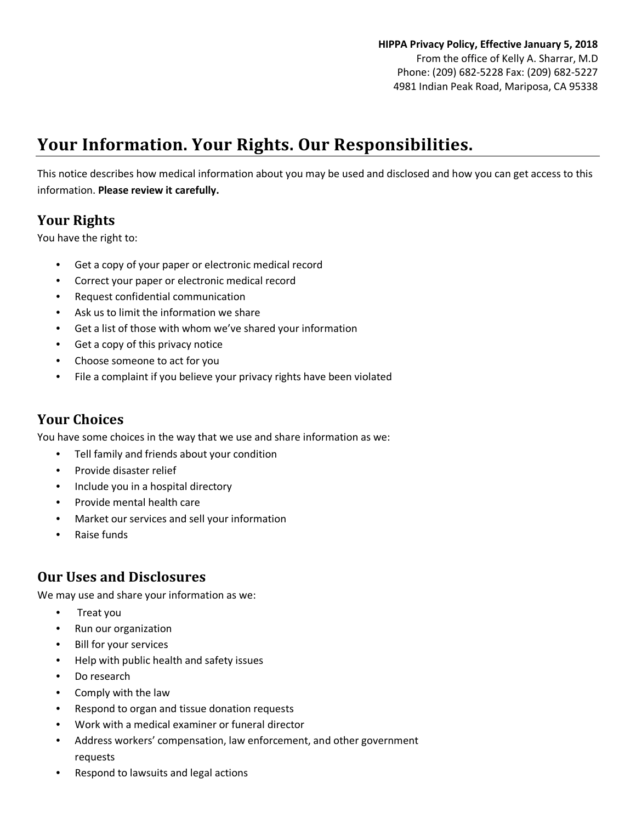# **Your Information. Your Rights. Our Responsibilities.**

This notice describes how medical information about you may be used and disclosed and how you can get access to this information. **Please review it carefully.**

# **Your Rights**

You have the right to:

- Get a copy of your paper or electronic medical record
- Correct your paper or electronic medical record
- Request confidential communication
- Ask us to limit the information we share
- Get a list of those with whom we've shared your information
- Get a copy of this privacy notice
- Choose someone to act for you
- File a complaint if you believe your privacy rights have been violated

# **Your Choices**

You have some choices in the way that we use and share information as we:

- Tell family and friends about your condition
- Provide disaster relief
- Include you in a hospital directory
- Provide mental health care
- Market our services and sell your information
- Raise funds

# **Our Uses and Disclosures**

We may use and share your information as we:

- Treat you
- Run our organization
- Bill for your services
- Help with public health and safety issues
- Do research
- Comply with the law
- Respond to organ and tissue donation requests
- Work with a medical examiner or funeral director
- Address workers' compensation, law enforcement, and other government requests
- Respond to lawsuits and legal actions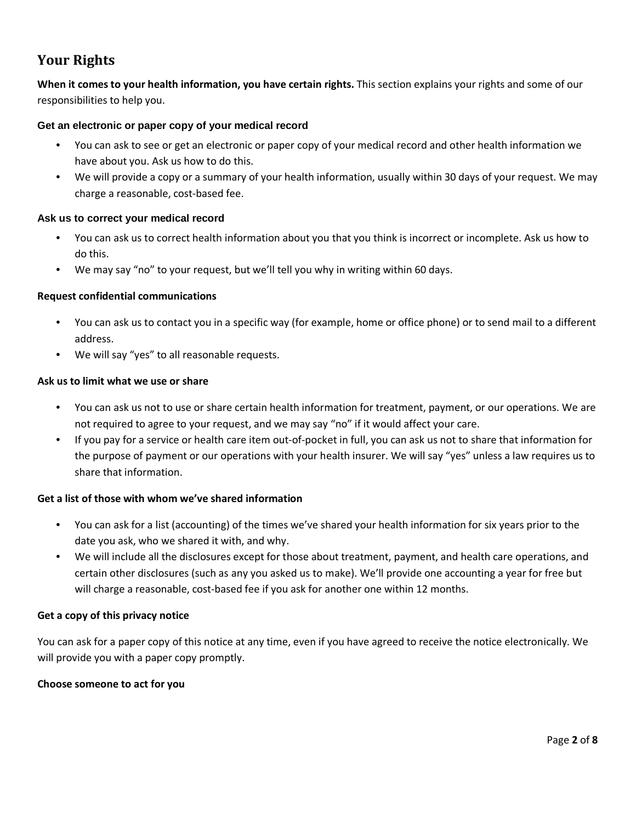# **Your Rights**

**When it comes to your health information, you have certain rights.** This section explains your rights and some of our responsibilities to help you.

#### **Get an electronic or paper copy of your medical record**

- You can ask to see or get an electronic or paper copy of your medical record and other health information we have about you. Ask us how to do this.
- We will provide a copy or a summary of your health information, usually within 30 days of your request. We may charge a reasonable, cost-based fee.

#### **Ask us to correct your medical record**

- You can ask us to correct health information about you that you think is incorrect or incomplete. Ask us how to do this.
- We may say "no" to your request, but we'll tell you why in writing within 60 days.

#### **Request confidential communications**

- You can ask us to contact you in a specific way (for example, home or office phone) or to send mail to a different address.
- We will say "yes" to all reasonable requests.

#### **Ask us to limit what we use or share**

- You can ask us not to use or share certain health information for treatment, payment, or our operations. We are not required to agree to your request, and we may say "no" if it would affect your care.
- If you pay for a service or health care item out-of-pocket in full, you can ask us not to share that information for the purpose of payment or our operations with your health insurer. We will say "yes" unless a law requires us to share that information.

#### **Get a list of those with whom we've shared information**

- You can ask for a list (accounting) of the times we've shared your health information for six years prior to the date you ask, who we shared it with, and why.
- We will include all the disclosures except for those about treatment, payment, and health care operations, and certain other disclosures (such as any you asked us to make). We'll provide one accounting a year for free but will charge a reasonable, cost-based fee if you ask for another one within 12 months.

#### **Get a copy of this privacy notice**

You can ask for a paper copy of this notice at any time, even if you have agreed to receive the notice electronically. We will provide you with a paper copy promptly.

#### **Choose someone to act for you**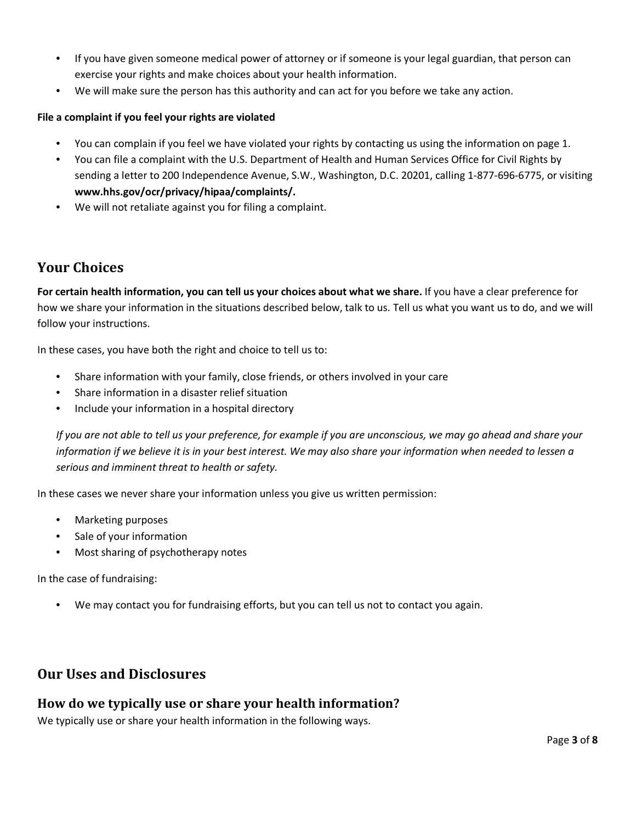- If you have given someone medical power of attorney or if someone is your legal guardian, that person can exercise your rights and make choices about your health information.
- We will make sure the person has this authority and can act for you before we take any action.

### **File a complaint if you feel your rights are violated**

- You can complain if you feel we have violated your rights by contacting us using the information on page 1.
- You can file a complaint with the U.S. Department of Health and Human Services Office for Civil Rights by sending a letter to 200 Independence Avenue, S.W., Washington, D.C. 20201, calling 1-877-696-6775, or visiting **www.hhs.gov/ocr/privacy/hipaa/complaints/.**
- We will not retaliate against you for filing a complaint.

# **Your Choices**

**For certain health information, you can tell us your choices about what we share.** If you have a clear preference for how we share your information in the situations described below, talk to us. Tell us what you want us to do, and we will follow your instructions.

In these cases, you have both the right and choice to tell us to:

- Share information with your family, close friends, or others involved in your care
- Share information in a disaster relief situation
- Include your information in a hospital directory

*If you are not able to tell us your preference, for example if you are unconscious, we may go ahead and share your information if we believe it is in your best interest. We may also share your information when needed to lessen a serious and imminent threat to health or safety.*

In these cases we never share your information unless you give us written permission:

- Marketing purposes
- Sale of your information
- Most sharing of psychotherapy notes

In the case of fundraising:

• We may contact you for fundraising efforts, but you can tell us not to contact you again.

# **Our Uses and Disclosures**

### **How do we typically use or share your health information?**

We typically use or share your health information in the following ways.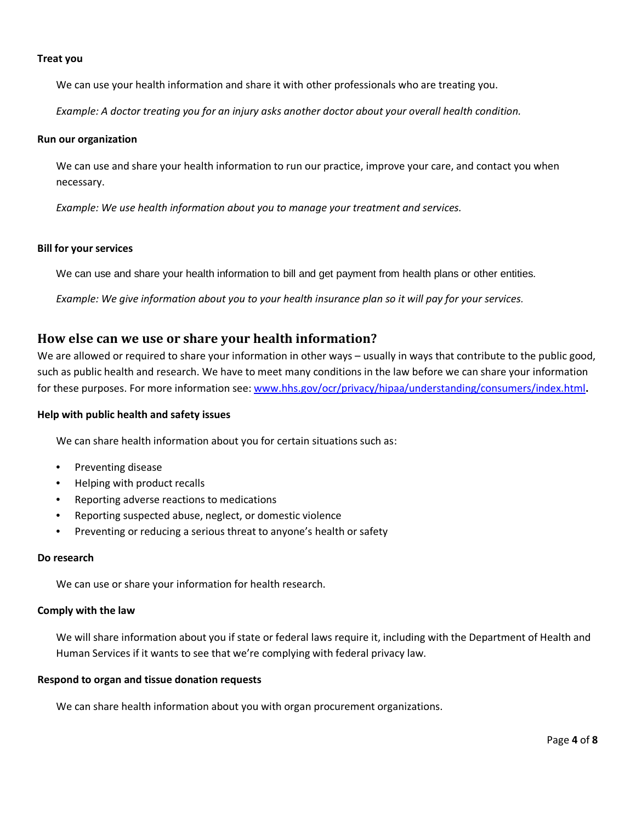#### **Treat you**

We can use your health information and share it with other professionals who are treating you.

*Example: A doctor treating you for an injury asks another doctor about your overall health condition.*

#### **Run our organization**

We can use and share your health information to run our practice, improve your care, and contact you when necessary.

*Example: We use health information about you to manage your treatment and services.* 

#### **Bill for your services**

We can use and share your health information to bill and get payment from health plans or other entities.

*Example: We give information about you to your health insurance plan so it will pay for your services.* 

### **How else can we use or share your health information?**

We are allowed or required to share your information in other ways – usually in ways that contribute to the public good, such as public health and research. We have to meet many conditions in the law before we can share your information for these purposes. For more information see: [www.hhs.gov/ocr/privacy/hipaa/understanding/consumers/index.html](http://www.hhs.gov/ocr/privacy/hipaa/understanding/consumers/index.html)**.**

#### **Help with public health and safety issues**

We can share health information about you for certain situations such as:

- Preventing disease
- Helping with product recalls
- Reporting adverse reactions to medications
- Reporting suspected abuse, neglect, or domestic violence
- Preventing or reducing a serious threat to anyone's health or safety

#### **Do research**

We can use or share your information for health research.

#### **Comply with the law**

We will share information about you if state or federal laws require it, including with the Department of Health and Human Services if it wants to see that we're complying with federal privacy law.

#### **Respond to organ and tissue donation requests**

We can share health information about you with organ procurement organizations.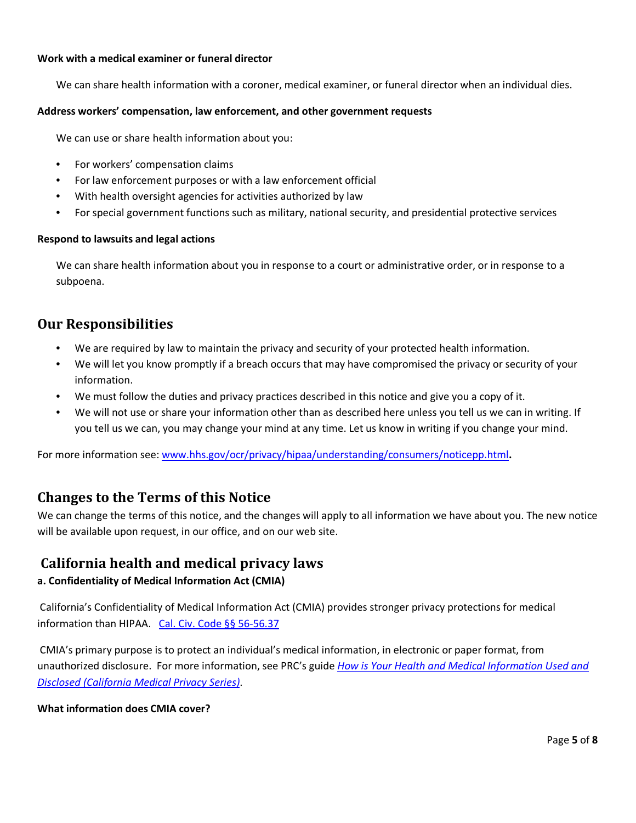#### **Work with a medical examiner or funeral director**

We can share health information with a coroner, medical examiner, or funeral director when an individual dies.

#### **Address workers' compensation, law enforcement, and other government requests**

We can use or share health information about you:

- For workers' compensation claims
- For law enforcement purposes or with a law enforcement official
- With health oversight agencies for activities authorized by law
- For special government functions such as military, national security, and presidential protective services

#### **Respond to lawsuits and legal actions**

We can share health information about you in response to a court or administrative order, or in response to a subpoena.

# **Our Responsibilities**

- We are required by law to maintain the privacy and security of your protected health information.
- We will let you know promptly if a breach occurs that may have compromised the privacy or security of your information.
- We must follow the duties and privacy practices described in this notice and give you a copy of it.
- We will not use or share your information other than as described here unless you tell us we can in writing. If you tell us we can, you may change your mind at any time. Let us know in writing if you change your mind.

For more information see: [www.hhs.gov/ocr/privacy/hipaa/understanding/consumers/noticepp.html](http://www.hhs.gov/ocr/privacy/hipaa/understanding/consumers/noticepp.html)**.**

# **Changes to the Terms of this Notice**

We can change the terms of this notice, and the changes will apply to all information we have about you. The new notice will be available upon request, in our office, and on our web site.

# **California health and medical privacy laws**

### **a. Confidentiality of Medical Information Act (CMIA)**

California's Confidentiality of Medical Information Act (CMIA) provides stronger privacy protections for medical information than HIPAA. [Cal. Civ. Code §§ 56-56.37](https://leginfo.legislature.ca.gov/faces/codes_displayexpandedbranch.xhtml?tocCode=CIV&division=1.&title=&part=2.6.&chapter=&article=)

CMIA's primary purpose is to protect an individual's medical information, in electronic or paper format, from unauthorized disclosure. For more information, see PRC's guide *[How is Your Health and Medical Information Used and](https://www.privacyrights.org/consumer-guides/how-your-medical-information-used-and-disclosed-and-without-consent-california)  [Disclosed \(California Medical Privacy Series\)](https://www.privacyrights.org/consumer-guides/how-your-medical-information-used-and-disclosed-and-without-consent-california)*.

### **What information does CMIA cover?**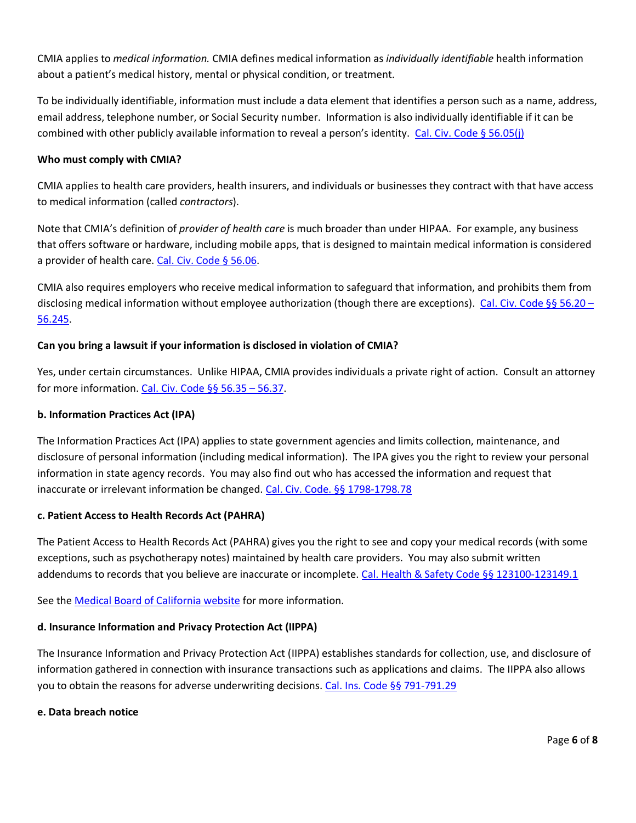CMIA applies to *medical information.* CMIA defines medical information as *individually identifiable* health information about a patient's medical history, mental or physical condition, or treatment.

To be individually identifiable, information must include a data element that identifies a person such as a name, address, email address, telephone number, or Social Security number. Information is also individually identifiable if it can be combined with other publicly available information to reveal a person's identity. [Cal. Civ. Code § 56.05\(j\)](https://leginfo.legislature.ca.gov/faces/codes_displaySection.xhtml?lawCode=CIV§ionNum=56.05.)

#### **Who must comply with CMIA?**

CMIA applies to health care providers, health insurers, and individuals or businesses they contract with that have access to medical information (called *contractors*).

Note that CMIA's definition of *provider of health care* is much broader than under HIPAA. For example, any business that offers software or hardware, including mobile apps, that is designed to maintain medical information is considered a provider of health care. [Cal. Civ. Code § 56.06.](http://leginfo.legislature.ca.gov/faces/codes_displaySection.xhtml?sectionNum=56.06.&lawCode=CIV)

CMIA also requires employers who receive medical information to safeguard that information, and prohibits them from disclosing medical information without employee authorization (though there are exceptions). [Cal. Civ. Code §§ 56.20 –](https://leginfo.legislature.ca.gov/faces/codes_displayText.xhtml?lawCode=CIV&division=1.&title=&part=2.6.&chapter=3.&article=) [56.245.](https://leginfo.legislature.ca.gov/faces/codes_displayText.xhtml?lawCode=CIV&division=1.&title=&part=2.6.&chapter=3.&article=)

### **Can you bring a lawsuit if your information is disclosed in violation of CMIA?**

Yes, under certain circumstances. Unlike HIPAA, CMIA provides individuals a private right of action. Consult an attorney for more information. [Cal. Civ. Code §§ 56.35 –](https://leginfo.legislature.ca.gov/faces/codes_displayText.xhtml?lawCode=CIV&division=1.&title=&part=2.6.&chapter=7.&article=) 56.37.

#### **b. Information Practices Act (IPA)**

The Information Practices Act (IPA) applies to state government agencies and limits collection, maintenance, and disclosure of personal information (including medical information). The IPA gives you the right to review your personal information in state agency records. You may also find out who has accessed the information and request that inaccurate or irrelevant information be changed. [Cal. Civ. Code. §§ 1798-1798.78](https://leginfo.legislature.ca.gov/faces/codes_displayexpandedbranch.xhtml?tocCode=CIV&division=3.&title=1.8.&part=4.&chapter=1.&article=)

#### **c. Patient Access to Health Records Act (PAHRA)**

The Patient Access to Health Records Act (PAHRA) gives you the right to see and copy your medical records (with some exceptions, such as psychotherapy notes) maintained by health care providers. You may also submit written addendums to records that you believe are inaccurate or incomplete. [Cal. Health & Safety Code §§ 123100-123149.1](https://leginfo.legislature.ca.gov/faces/codes_displayText.xhtml?lawCode=HSC&division=106.&title=&part=1.&chapter=1.&article=)

See the [Medical Board of California website](http://www.mbc.ca.gov/Consumers/Access_Records.aspx) for more information.

### **d. Insurance Information and Privacy Protection Act (IIPPA)**

The Insurance Information and Privacy Protection Act (IIPPA) establishes standards for collection, use, and disclosure of information gathered in connection with insurance transactions such as applications and claims. The IIPPA also allows you to obtain the reasons for adverse underwriting decisions. [Cal. Ins. Code §§ 791-791.29](https://leginfo.legislature.ca.gov/faces/codes_displayText.xhtml?lawCode=INS&division=1.&title=&part=2.&chapter=1.&article=6.6.)

#### **e. Data breach notice**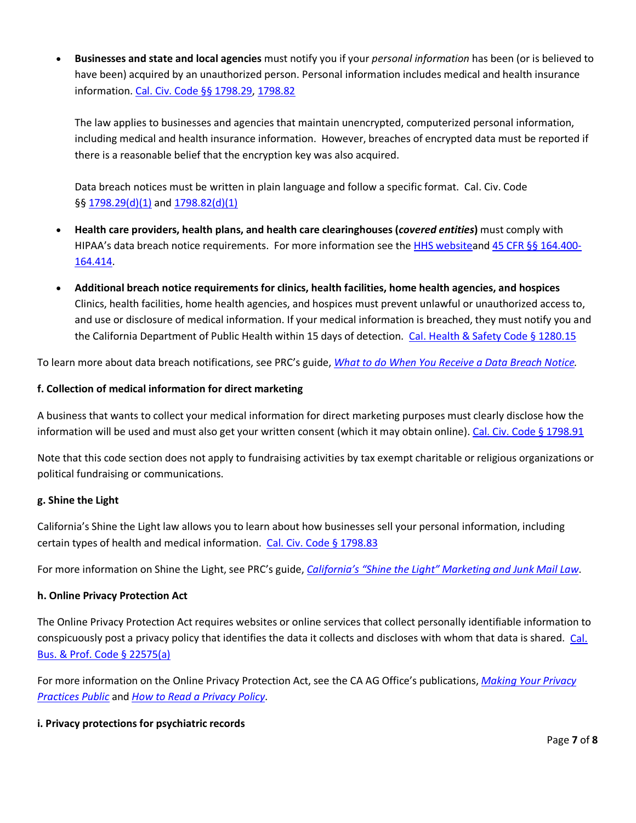• **Businesses and state and local agencies** must notify you if your *personal information* has been (or is believed to have been) acquired by an unauthorized person. Personal information includes medical and health insurance information. [Cal. Civ. Code §§ 1798.29,](https://leginfo.legislature.ca.gov/faces/codes_displaySection.xhtml?lawCode=CIV§ionNum=1798.29.) [1798.82](https://leginfo.legislature.ca.gov/faces/codes_displaySection.xhtml?lawCode=CIV§ionNum=1798.82.)

The law applies to businesses and agencies that maintain unencrypted, computerized personal information, including medical and health insurance information. However, breaches of encrypted data must be reported if there is a reasonable belief that the encryption key was also acquired.

Data breach notices must be written in plain language and follow a specific format. Cal. Civ. Code §§ [1798.29\(d\)\(1\)](https://leginfo.legislature.ca.gov/faces/codes_displaySection.xhtml?lawCode=CIV§ionNum=1798.29.) and [1798.82\(d\)\(1\)](https://leginfo.legislature.ca.gov/faces/codes_displaySection.xhtml?lawCode=CIV§ionNum=1798.82.)

- **Health care providers, health plans, and health care clearinghouses (***covered entities***)** must comply with HIPAA's data breach notice requirements. For more information see the [HHS websitea](https://www.hhs.gov/hipaa/for-professionals/breach-notification/index.html)nd [45 CFR §§ 164.400-](https://www.ecfr.gov/cgi-bin/text-idx?SID=0ed84c7423abdfca1fa81d772667435a&mc=true&node=sp45.1.164.d&rgn=div6) [164.414.](https://www.ecfr.gov/cgi-bin/text-idx?SID=0ed84c7423abdfca1fa81d772667435a&mc=true&node=sp45.1.164.d&rgn=div6)
- **Additional breach notice requirements for clinics, health facilities, home health agencies, and hospices** Clinics, health facilities, home health agencies, and hospices must prevent unlawful or unauthorized access to, and use or disclosure of medical information. If your medical information is breached, they must notify you and the California Department of Public Health within 15 days of detection. [Cal. Health & Safety Code § 1280.15](https://leginfo.legislature.ca.gov/faces/codes_displaySection.xhtml?lawCode=HSC§ionNum=1280.15)

To learn more about data breach notifications, see PRC's guide, *[What to do When You Receive a Data Breach Notice.](https://www.privacyrights.org/consumer-guides/what-do-when-you-receive-data-breach-notice)*

### **f. Collection of medical information for direct marketing**

A business that wants to collect your medical information for direct marketing purposes must clearly disclose how the information will be used and must also get your written consent (which it may obtain online). [Cal. Civ. Code § 1798.91](https://leginfo.legislature.ca.gov/faces/codes_displaySection.xhtml?lawCode=CIV§ionNum=1798.91)

Note that this code section does not apply to fundraising activities by tax exempt charitable or religious organizations or political fundraising or communications.

### **g. Shine the Light**

California's Shine the Light law allows you to learn about how businesses sell your personal information, including certain types of health and medical information. [Cal. Civ. Code § 1798.83](https://leginfo.legislature.ca.gov/faces/codes_displaySection.xhtml?sectionNum=1798.83.&lawCode=CIV)

For more information on Shine the Light, see PRC's guide, *[California's "Shine the Light" Marketing and Junk Mail Law](https://www.privacyrights.org/consumer-guides/shine-light-marketers-find-out-how-they-know-your-name)*.

### **h. Online Privacy Protection Act**

The Online Privacy Protection Act requires websites or online services that collect personally identifiable information to conspicuously post a privacy policy that identifies the data it collects and discloses with whom that data is shared. [Cal.](https://leginfo.legislature.ca.gov/faces/codes_displayText.xhtml?lawCode=BPC&division=8.&title=&part=&chapter=22.&article=)  [Bus. & Prof. Code § 22575\(a\)](https://leginfo.legislature.ca.gov/faces/codes_displayText.xhtml?lawCode=BPC&division=8.&title=&part=&chapter=22.&article=)

For more information on the Online Privacy Protection Act, see the CA AG Office's publications, *[Making Your Privacy](https://oag.ca.gov/privacy/business-privacy)  [Practices Public](https://oag.ca.gov/privacy/business-privacy)* and *[How to Read a Privacy Policy](https://oag.ca.gov/privacy/facts/online-privacy/privacy-policy)*.

### **i. Privacy protections for psychiatric records**